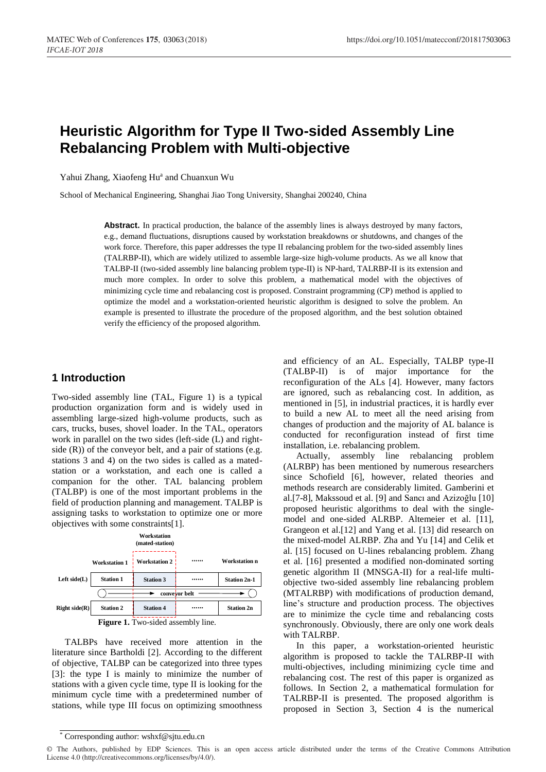# **Heuristic Algorithm for Type II Two-sided Assembly Line Rebalancing Problem with Multi-objective**

Yahui Zhang, Xiaofeng Hu<sup>a</sup> and Chuanxun Wu

School of Mechanical Engineering, Shanghai Jiao Tong University, Shanghai 200240, China

Abstract. In practical production, the balance of the assembly lines is always destroyed by many factors, e.g., demand fluctuations, disruptions caused by workstation breakdowns or shutdowns, and changes of the work force. Therefore, this paper addresses the type II rebalancing problem for the two-sided assembly lines (TALRBP-II), which are widely utilized to assemble large-size high-volume products. As we all know that TALBP-II (two-sided assembly line balancing problem type-II) is NP-hard, TALRBP-II is its extension and much more complex. In order to solve this problem, a mathematical model with the objectives of minimizing cycle time and rebalancing cost is proposed. Constraint programming (CP) method is applied to optimize the model and a workstation-oriented heuristic algorithm is designed to solve the problem. An example is presented to illustrate the procedure of the proposed algorithm, and the best solution obtained verify the efficiency of the proposed algorithm.

## **1 Introduction**

Two-sided assembly line (TAL, Figure 1) is a typical production organization form and is widely used in assembling large-sized high-volume products, such as cars, trucks, buses, shovel loader. In the TAL, operators work in parallel on the two sides (left-side (L) and rightside  $(R)$ ) of the conveyor belt, and a pair of stations (e.g. stations 3 and 4) on the two sides is called as a matedstation or a workstation, and each one is called a companion for the other. TAL balancing problem (TALBP) is one of the most important problems in the field of production planning and management. TALBP is assigning tasks to workstation to optimize one or more objectives with some constraints[1].

|                    |                      | Workstation<br>(mated-station)          |               |                      |
|--------------------|----------------------|-----------------------------------------|---------------|----------------------|
|                    | <b>Workstation 1</b> | <b>Workstation 2</b>                    |               | <b>Workstation n</b> |
| Left side(L)       | <b>Station 1</b>     | <b>Station 3</b>                        |               | <b>Station 2n-1</b>  |
|                    |                      |                                         | convevor belt |                      |
| $Right \, side(R)$ | <b>Station 2</b>     | <b>Station 4</b>                        |               | <b>Station 2n</b>    |
|                    |                      | <b>Figure 1</b> Two sided essembly line |               |                      |

**Figure 1.** Two-sided assembly line.

TALBPs have received more attention in the literature since Bartholdi [2]. According to the different of objective, TALBP can be categorized into three types [3]: the type I is mainly to minimize the number of stations with a given cycle time, type II is looking for the minimum cycle time with a predetermined number of stations, while type III focus on optimizing smoothness

and efficiency of an AL. Especially, TALBP type-II (TALBP-II) is of major importance for the reconfiguration of the ALs [4]. However, many factors are ignored, such as rebalancing cost. In addition, as mentioned in [5], in industrial practices, it is hardly ever to build a new AL to meet all the need arising from changes of production and the majority of AL balance is conducted for reconfiguration instead of first time installation, i.e. rebalancing problem.

Actually, assembly line rebalancing problem (ALRBP) has been mentioned by numerous researchers since Schofield [6], however, related theories and methods research are considerably limited. Gamberini et al.[7-8], Makssoud et al. [9] and Sancı and Azizoğlu [10] proposed heuristic algorithms to deal with the singlemodel and one-sided ALRBP. Altemeier et al. [11], Grangeon et al.[12] and Yang et al. [13] did research on the mixed-model ALRBP. Zha and Yu [14] and Celik et al. [15] focused on U-lines rebalancing problem. Zhang et al. [16] presented a modified non-dominated sorting genetic algorithm II (MNSGA-II) for a real-life multiobjective two-sided assembly line rebalancing problem (MTALRBP) with modifications of production demand, line's structure and production process. The objectives are to minimize the cycle time and rebalancing costs synchronously. Obviously, there are only one work deals with TALRBP.

In this paper, a workstation-oriented heuristic algorithm is proposed to tackle the TALRBP-II with multi-objectives, including minimizing cycle time and rebalancing cost. The rest of this paper is organized as follows. In Section 2, a mathematical formulation for TALRBP-II is presented. The proposed algorithm is proposed in Section 3, Section 4 is the numerical

<sup>\*</sup> Corresponding author: wshxf@sjtu.edu.cn

<sup>©</sup> The Authors, published by EDP Sciences. This is an open access article distributed under the terms of the Creative Commons Attribution License 4.0 (http://creativecommons.org/licenses/by/4.0/).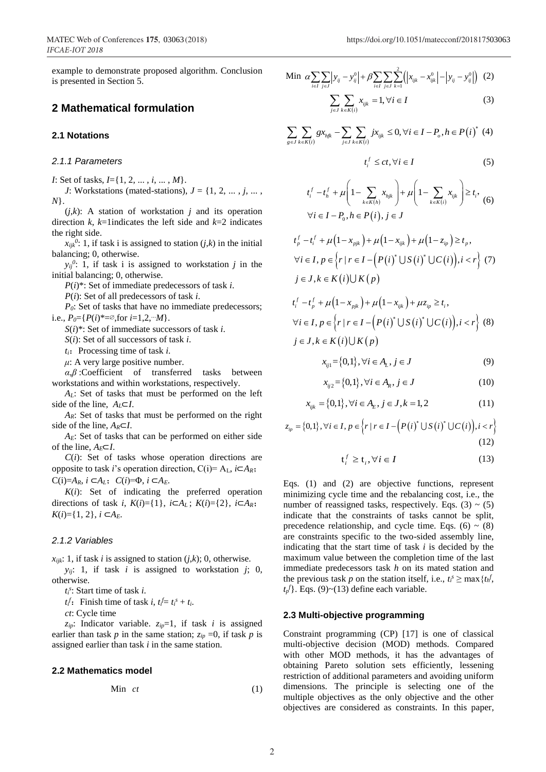example to demonstrate proposed algorithm. Conclusion is presented in Section 5.

## **2 Mathematical formulation**

### **2.1 Notations**

#### *2.1.1 Parameters*

*I*: Set of tasks, *I*={1, 2, ... , *i*, ... , *M*}.

*J*: Workstations (mated-stations),  $J = \{1, 2, \ldots, j, \ldots, j\}$ *N*}.

(*j*,*k*): A station of workstation *j* and its operation direction *k*, *k*=1indicates the left side and *k*=2 indicates the right side.

 $x_{ijk}$ <sup>0</sup>: 1, if task i is assigned to station (*j*,*k*) in the initial balancing; 0, otherwise.

 $y_{ij}$ <sup>0</sup>: 1, if task i is assigned to workstation *j* in the initial balancing; 0, otherwise.

*P*(*i*)\*: Set of immediate predecessors of task *i*.

*P*(*i*): Set of all predecessors of task *i*.

*P*<sup>0</sup>: Set of tasks that have no immediate predecessors; i.e.,  $P_0 = \{P(i)*= \emptyset, \text{for } i = 1, 2, \dots M\}.$ 

*S*(*i*)\*: Set of immediate successors of task *i*.

*S*(*i*): Set of all successors of task *i*.

 $t_i$ : Processing time of task *i*.

 $\mu$ : A very large positive number.

*α*,*β* :Coefficient of transferred tasks between workstations and within workstations, respectively.

*AL*: Set of tasks that must be performed on the left side of the line,  $A_L \subset I$ .

*AR*: Set of tasks that must be performed on the right side of the line, *AR*⊂*I*.

*AE*: Set of tasks that can be performed on either side of the line,  $A_E \subset I$ .

 $C(i)$ : Set of tasks whose operation directions are opposite to task *i*'s operation direction,  $C(i) = A_{L}$ ,  $i \subset A_{R}$ ; C(i)= $A_R$ ,  $i$  ⊂ $A_L$ ;  $C(i) = \Phi$ ,  $i$  ⊂ $A_E$ .

*K*(*i*): Set of indicating the preferred operation directions of task *i*,  $K(i) = \{1\}$ ,  $i \subset A_L$ ;  $K(i) = \{2\}$ ,  $i \subset A_R$ ;  $K(i)=\{1, 2\}, i \subset A$ *E*.

#### *2.1.2 Variables*

 $x_{ijk}$ : 1, if task *i* is assigned to station  $(j, k)$ ; 0, otherwise. *yij*: 1, if task *i* is assigned to workstation *j*; 0, otherwise.

*ti s* : Start time of task *i*.

*t*<sub>i</sub><sup>*f*</sup>: Finish time of task *i*,  $t_i^f = t_i^s + t_i$ .

*ct*: Cycle time

*zip*: Indicator variable. *zip*=1, if task *i* is assigned earlier than task  $p$  in the same station;  $z_{ip} = 0$ , if task  $p$  is assigned earlier than task *i* in the same station.

#### **2.2 Mathematics model**

$$
\mathbf{Min} \quad ct \tag{1}
$$

$$
\text{Min } \alpha \sum_{i \in I} \sum_{j \in J} \left| y_{ij} - y_{ij}^0 \right| + \beta \sum_{i \in I} \sum_{j \in J} \sum_{k=1}^2 \left( \left| x_{ijk} - x_{ijk}^0 \right| - \left| y_{ij} - y_{ij}^0 \right| \right) (2)
$$

$$
\sum_{j \in J} \sum_{k \in K(i)} x_{ijk} = 1, \forall i \in I
$$
 (3)

$$
\sum_{j \in J} \sum_{k \in K(i)} g x_{jjk} - \sum_{j \in J} \sum_{k \in K(i)} j x_{ijk} \le 0, \forall i \in I - P_o, h \in P(i)^* \quad (4)
$$

$$
t_i^f \le ct, \forall i \in I \tag{5}
$$

$$
t_i^f - t_h^f + \mu \left( 1 - \sum_{k \in K(h)} x_{hjk} \right) + \mu \left( 1 - \sum_{k \in K(i)} x_{ijk} \right) \ge t_i, \tag{6}
$$
  

$$
\forall i \in I - P_0, h \in P(i), j \in J
$$

$$
t_p^f - t_i^f + \mu \left( 1 - x_{pjk} \right) + \mu \left( 1 - x_{ijk} \right) + \mu \left( 1 - z_{ip} \right) \ge t_p,
$$
  
\n
$$
\forall i \in I, p \in \left\{ r \mid r \in I - \left( P(i)^* \cup S(i)^* \cup C(i) \right), i < r \right\} \tag{7}
$$
  
\n
$$
j \in J, k \in K(i) \cup K(p)
$$

$$
t_i^f - t_p^f + \mu \left(1 - x_{pjk}\right) + \mu \left(1 - x_{ijk}\right) + \mu z_{ip} \ge t_i,
$$
  
\n
$$
\forall i \in I, p \in \left\{r \mid r \in I - \left(P(i)^* \cup S(i)^* \cup C(i)\right), i < r\right\} \quad (8)
$$
  
\n
$$
j \in J, k \in K(i) \cup K(p)
$$

$$
x_{ij1} = \{0, 1\}, \forall i \in A_L, j \in J \tag{9}
$$

$$
x_{ij2} = \{0,1\}, \forall i \in A_R, j \in J \tag{10}
$$

$$
x_{ijk} = \{0,1\}, \forall i \in A_E, j \in J, k = 1,2 \tag{11}
$$

$$
x_{ijk} = \{0,1\}, \forall i \in A_E, j \in J, k = 1, 2
$$
\n
$$
z_{ip} = \{0,1\}, \forall i \in I, p \in \{r \mid r \in I - \left(P(i)^* \cup S(i)^* \cup C(i)\right), i < r\}
$$
\n
$$
(12)
$$

$$
\mathbf{t}_i^f \ge \mathbf{t}_i, \forall i \in I \tag{13}
$$

Eqs. (1) and (2) are objective functions, represent minimizing cycle time and the rebalancing cost, i.e., the number of reassigned tasks, respectively. Eqs.  $(3) \sim (5)$ indicate that the constraints of tasks cannot be split, precedence relationship, and cycle time. Eqs. (6)  $\sim$  (8) are constraints specific to the two-sided assembly line, indicating that the start time of task *i* is decided by the maximum value between the completion time of the last immediate predecessors task *h* on its mated station and the previous task *p* on the station itself, i.e.,  $t_i^s \ge \max\{t_n^f,$  $t_p$ <sup>*f*</sup>}. Eqs. (9)~(13) define each variable.

## **2.3 Multi-objective programming**

Constraint programming (CP) [17] is one of classical multi-objective decision (MOD) methods. Compared with other MOD methods, it has the advantages of obtaining Pareto solution sets efficiently, lessening restriction of additional parameters and avoiding uniform dimensions. The principle is selecting one of the multiple objectives as the only objective and the other objectives are considered as constraints. In this paper,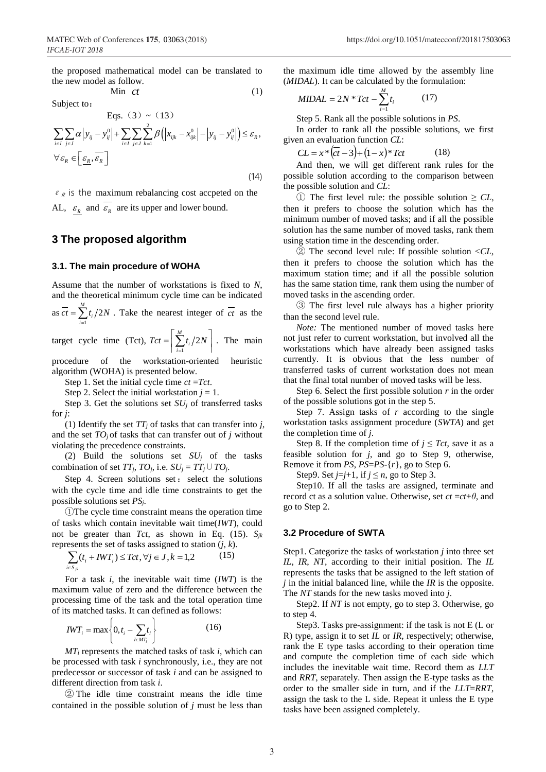Min ct

the proposed mathematical model can be translated to the new model as follow.

*ct* (1)

Subject to:

Subject to:

\n
$$
\text{Eqs. } (3) \sim (13)
$$
\n
$$
\sum_{i \in I} \sum_{j \in J} \alpha \left| y_{ij} - y_{ij}^0 \right| + \sum_{i \in I} \sum_{j \in J} \sum_{k=1}^2 \beta \left( \left| x_{ijk} - x_{ijk}^0 \right| - \left| y_{ij} - y_{ij}^0 \right| \right) \le \varepsilon_R,
$$
\n
$$
\forall \varepsilon_R \in \left[ \underline{\varepsilon_R}, \overline{\varepsilon_R} \right]
$$
\n(14)

 $\varepsilon_R$  is the maximum rebalancing cost accpeted on the AL,  $\varepsilon_R$  and  $\varepsilon_R$  are its upper and lower bound.

## **3 The proposed algorithm**

#### **3.1. The main procedure of WOHA**

Assume that the number of workstations is fixed to *N*, and the theoretical minimum cycle time can be indicated

as 
$$
\overline{ct} = \sum_{i=1}^{M} t_i / 2N
$$
. Take the nearest integer of  $\overline{ct}$  as the

target cycle time (Tct), 1  $\sum_{i=1}^{M} t_i/2$  $\sum_{i=1}^{l}$  $Tct = \frac{\sum t_i}{2N}$ =  $=\left|\sum_{i=1}^{M} t_i/2N\right|$ . The main

procedure of the workstation-oriented heuristic algorithm (WOHA) is presented below.

Step 1. Set the initial cycle time *ct* =*Tct*.

Step 2. Select the initial workstation  $j = 1$ .

Step 3. Get the solutions set  $SU<sub>i</sub>$  of transferred tasks for *j*:

(1) Identify the set *TT<sup>j</sup>* of tasks that can transfer into *j*, and the set  $TO<sub>j</sub>$  of tasks that can transfer out of  $j$  without violating the precedence constraints.

(2) Build the solutions set  $SU_j$  of the tasks combination of set  $TT_i$ ,  $TO_j$ , i.e.  $SU_j = TT_j \cup TO_j$ .

Step 4. Screen solutions set: select the solutions with the cycle time and idle time constraints to get the possible solutions set *PSj*.

①The cycle time constraint means the operation time of tasks which contain inevitable wait time(*IWT*), could not be greater than *Tct*, as shown in Eq. (15). *Sjk* represents the set of tasks assigned to station (*j*, *k*).

$$
\sum_{i \in S_{jk}} (t_i + IWT_i) \leq Tct, \forall j \in J, k = 1,2 \tag{15}
$$

For a task *i*, the inevitable wait time (*IWT*) is the maximum value of zero and the difference between the processing time of the task and the total operation time of its matched tasks. It can defined as follows:

$$
IWT_i = \max\left\{0, t_i - \sum_{l \in MT_i} t_l\right\}
$$
 (16)

*MT<sup>i</sup>* represents the matched tasks of task *i*, which can be processed with task *i* synchronously, i.e., they are not predecessor or successor of task *i* and can be assigned to different direction from task *i*.

② The idle time constraint means the idle time contained in the possible solution of *j* must be less than

the maximum idle time allowed by the assembly line (*MIDAL*). It can be calculated by the formulation:

$$
MIDAL = 2N * Tct - \sum_{i=1}^{M} t_i \tag{17}
$$

Step 5. Rank all the possible solutions in *PS*.

In order to rank all the possible solutions, we first given an evaluation function *CL*:

$$
CL = x * (\overline{ct} - 3) + (1 - x) * Tct
$$
 (18)

And then, we will get different rank rules for the possible solution according to the comparison between the possible solution and *CL*:

① The first level rule: the possible solution ≥ *CL*, then it prefers to choose the solution which has the minimum number of moved tasks; and if all the possible solution has the same number of moved tasks, rank them using station time in the descending order.

② The second level rule: If possible solution <*CL*, then it prefers to choose the solution which has the maximum station time; and if all the possible solution has the same station time, rank them using the number of moved tasks in the ascending order.

③ The first level rule always has a higher priority than the second level rule.

*Note:* The mentioned number of moved tasks here not just refer to current workstation, but involved all the workstations which have already been assigned tasks currently. It is obvious that the less number of transferred tasks of current workstation does not mean that the final total number of moved tasks will be less.

Step 6. Select the first possible solution *r* in the order of the possible solutions got in the step 5.

Step 7. Assign tasks of *r* according to the single workstation tasks assignment procedure (*SWTA*) and get the completion time of *j*.

Step 8. If the completion time of  $j \leq Tct$ , save it as a feasible solution for *j*, and go to Step 9, otherwise, Remove it from *PS*, *PS*=*PS*-{*r*}, go to Step 6.

Step9. Set  $j=j+1$ , if  $j \leq n$ , go to Step 3.

Step10. If all the tasks are assigned, terminate and record ct as a solution value. Otherwise, set *ct* =*ct*+*θ*, and go to Step 2.

#### **3.2 Procedure of SWTA**

Step1. Categorize the tasks of workstation *j* into three set *IL*, *IR*, *NT*, according to their initial position. The *IL* represents the tasks that be assigned to the left station of *j* in the initial balanced line, while the *IR* is the opposite. The *NT* stands for the new tasks moved into *j*.

Step2. If *NT* is not empty, go to step 3. Otherwise, go to step 4.

Step3. Tasks pre-assignment: if the task is not E (L or R) type, assign it to set *IL* or *IR*, respectively; otherwise, rank the E type tasks according to their operation time and compute the completion time of each side which includes the inevitable wait time. Record them as *LLT* and *RRT*, separately. Then assign the E-type tasks as the order to the smaller side in turn, and if the *LLT*=*RRT*, assign the task to the L side. Repeat it unless the E type tasks have been assigned completely.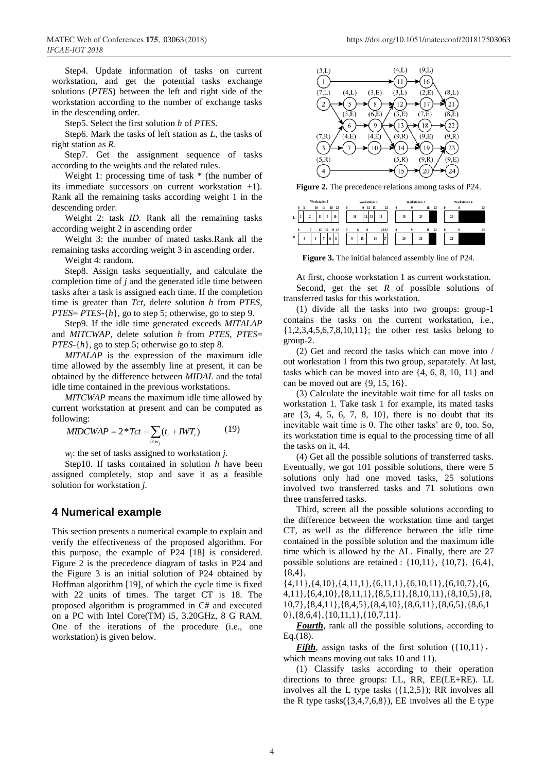Step4. Update information of tasks on current workstation, and get the potential tasks exchange solutions (*PTES*) between the left and right side of the workstation according to the number of exchange tasks in the descending order.

Step5. Select the first solution *h* of *PTES*.

Step6. Mark the tasks of left station as *L*, the tasks of right station as *R*.

Step7. Get the assignment sequence of tasks according to the weights and the related rules.

Weight 1: processing time of task  $*$  (the number of its immediate successors on current workstation +1). Rank all the remaining tasks according weight 1 in the descending order.

Weight 2: task *ID*. Rank all the remaining tasks according weight 2 in ascending order

Weight 3: the number of mated tasks.Rank all the remaining tasks according weight 3 in ascending order.

Weight 4: random.

Step8. Assign tasks sequentially, and calculate the completion time of *j* and the generated idle time between tasks after a task is assigned each time. If the completion time is greater than *Tct*, delete solution *h* from *PTES*, *PTES*= *PTES*-{*h*}, go to step 5; otherwise, go to step 9.

Step9. If the idle time generated exceeds *MITALAP* and *MITCWAP*, delete solution *h* from *PTES*, *PTES*= *PTES*-{*h*}, go to step 5; otherwise go to step 8.

*MITALAP* is the expression of the maximum idle time allowed by the assembly line at present, it can be obtained by the difference between *MIDAL* and the total idle time contained in the previous workstations.

*MITCWAP* means the maximum idle time allowed by current workstation at present and can be computed as following:

$$
MIDCWAP = 2 \cdot Tct - \sum_{i \in w_j} (t_i + IWT_i)
$$
 (19)

*wj*: the set of tasks assigned to workstation *j*.

Step10. If tasks contained in solution *h* have been assigned completely, stop and save it as a feasible solution for workstation *j*.

## **4 Numerical example**

This section presents a numerical example to explain and verify the effectiveness of the proposed algorithm. For this purpose, the example of P24 [18] is considered. Figure 2 is the precedence diagram of tasks in P24 and the Figure 3 is an initial solution of P24 obtained by Hoffman algorithm [19], of which the cycle time is fixed with 22 units of times. The target CT is 18. The proposed algorithm is programmed in C# and executed on a PC with Intel Core(TM) i5, 3.20GHz, 8 G RAM. One of the iterations of the procedure (i.e., one workstation) is given below.



**Figure 2.** The precedence relations among tasks of P24.

|             |          |   | <b>Workstation 1</b> |    |    |            |          |    | <b>Workstation 2</b> |    |    |         |   |    |   | Workstation 3 |    |    |          |    | <b>Workstation 4</b> |    |
|-------------|----------|---|----------------------|----|----|------------|----------|----|----------------------|----|----|---------|---|----|---|---------------|----|----|----------|----|----------------------|----|
|             | 0        | 3 | 10                   |    | 14 | - 22<br>18 | $\theta$ |    | 9                    | 12 | 15 | $^{22}$ | O |    | 9 |               | 18 | 22 | $\theta$ |    | 8                    | 22 |
| L           |          |   |                      | 11 | 5  | 10         |          | 16 | 12                   | 13 |    | 18      |   | 19 |   | 24            |    |    |          | 21 |                      |    |
|             | $\bf{0}$ | 7 |                      | 12 |    | 16 19 22   | $\theta$ | 6  | 11                   |    |    | 2022    | 0 |    | 9 |               | 18 | 22 | $\theta$ |    | 8                    | 22 |
| $\mathbf R$ |          | 3 |                      |    | ٠  | 8<br>6     |          | 9  | 15                   |    | 14 | 17      |   | 20 |   | 23            |    |    |          | 22 |                      |    |

**Figure 3.** The initial balanced assembly line of P24.

At first, choose workstation 1 as current workstation. Second, get the set *R* of possible solutions of transferred tasks for this workstation.

(1) divide all the tasks into two groups: group-1 contains the tasks on the current workstation, i.e., {1,2,3,4,5,6,7,8,10,11}; the other rest tasks belong to group-2.

(2) Get and record the tasks which can move into / out workstation 1 from this two group, separately. At last, tasks which can be moved into are {4, 6, 8, 10, 11} and can be moved out are  $\{9, 15, 16\}$ .

(3) Calculate the inevitable wait time for all tasks on workstation 1. Take task 1 for example, its mated tasks are  $\{3, 4, 5, 6, 7, 8, 10\}$ , there is no doubt that its inevitable wait time is 0. The other tasks' are 0, too. So, its workstation time is equal to the processing time of all the tasks on it, 44.

(4) Get all the possible solutions of transferred tasks. Eventually, we got 101 possible solutions, there were 5 solutions only had one moved tasks, 25 solutions involved two transferred tasks and 71 solutions own three transferred tasks.

Third, screen all the possible solutions according to the difference between the workstation time and target CT, as well as the difference between the idle time contained in the possible solution and the maximum idle time which is allowed by the AL. Finally, there are 27 possible solutions are retained : {10,11}, {10,7}, {6,4}, {8,4},

 $\{4,11\}, \{4,10\}, \{4,11,1\}, \{6,11,1\}, \{6,10,11\}, \{6,10,7\}, \{6,$ 4,11},{6,4,10},{8,11,1},{8,5,11},{8,10,11},{8,10,5},{8, 10,7},{8,4,11},{8,4,5},{8,4,10},{8,6,11},{8,6,5},{8,6,1 0},{8,6,4},{10,11,1},{10,7,11}.

*Fourth*, rank all the possible solutions, according to Eq.(18).

*Fifth*, assign tasks of the first solution  $({10,11})$ , which means moving out taks 10 and 11).

(1) Classify tasks according to their operation directions to three groups: LL, RR, EE(LE+RE). LL involves all the L type tasks ({1,2,5}); RR involves all the R type tasks $({3,4,7,6,8})$ , EE involves all the E type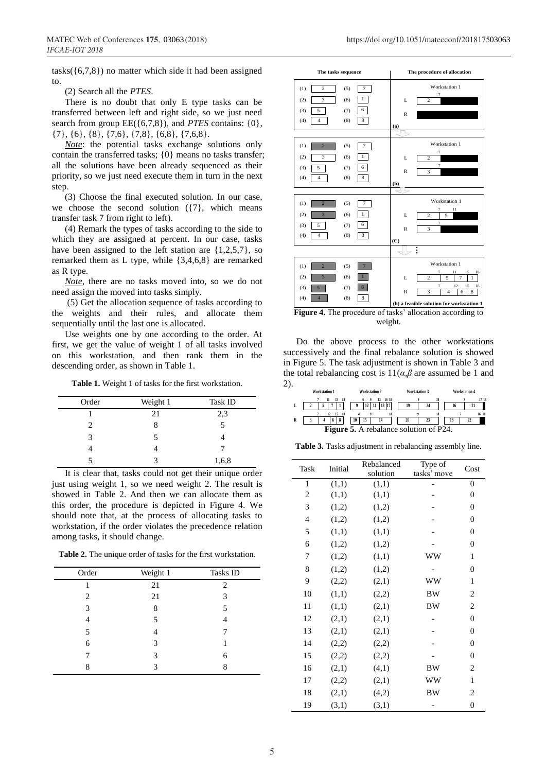tasks( $\{(6,7,8)\}$ ) no matter which side it had been assigned to.

(2) Search all the *PTES*.

There is no doubt that only E type tasks can be transferred between left and right side, so we just need search from group  $EE({6,7,8})$ , and *PTES* contains:  ${0}$ , {7}, {6}, {8}, {7,6}, {7,8}, {6,8}, {7,6,8}.

*Note*: the potential tasks exchange solutions only contain the transferred tasks; {0} means no tasks transfer; all the solutions have been already sequenced as their priority, so we just need execute them in turn in the next step.

(3) Choose the final executed solution. In our case, we choose the second solution  $({7})$ , which means transfer task 7 from right to left).

(4) Remark the types of tasks according to the side to which they are assigned at percent. In our case, tasks have been assigned to the left station are {1,2,5,7}, so remarked them as L type, while {3,4,6,8} are remarked as R type.

*Note*, there are no tasks moved into, so we do not need assign the moved into tasks simply.

(5) Get the allocation sequence of tasks according to the weights and their rules, and allocate them sequentially until the last one is allocated.

Use weights one by one according to the order. At first, we get the value of weight 1 of all tasks involved on this workstation, and then rank them in the descending order, as shown in Table 1.

**Table 1.** Weight 1 of tasks for the first workstation.

| Order | Weight 1 | <b>Task ID</b> |
|-------|----------|----------------|
|       | 21       | 2,3            |
|       |          |                |
| 3     | 5        |                |
|       |          |                |
|       |          | 1,6,8          |

It is clear that, tasks could not get their unique order just using weight 1, so we need weight 2. The result is showed in Table 2. And then we can allocate them as this order, the procedure is depicted in Figure 4. We should note that, at the process of allocating tasks to workstation, if the order violates the precedence relation among tasks, it should change.

**Table 2.** The unique order of tasks for the first workstation.

| Order | Weight 1 | Tasks ID       |
|-------|----------|----------------|
|       | 21       | $\mathfrak{D}$ |
| 2     | 21       | 3              |
| 3     | 8        |                |
|       | 5        |                |
| 5     |          |                |
| 6     | 3        |                |
|       | 3        | 6              |
| Q     | 3        | 8              |
|       |          |                |



**Figure 4.** The procedure of tasks' allocation according to weight.

Do the above process to the other workstations successively and the final rebalance solution is showed in Figure 5. The task adjustment is shown in Table 3 and the total rebalancing cost is  $11(\alpha, \beta)$  are assumed be 1 and 2).



**Table 3.** Tasks adjustment in rebalancing assembly line.

| Task           | Initial | Rebalanced<br>solution | Type of<br>tasks' move | Cost             |
|----------------|---------|------------------------|------------------------|------------------|
| 1              | (1,1)   | (1,1)                  |                        | $\theta$         |
| $\overline{2}$ | (1,1)   | (1,1)                  |                        | $\overline{0}$   |
| 3              | (1,2)   | (1,2)                  |                        | $\theta$         |
| $\overline{4}$ | (1,2)   | (1,2)                  |                        | $\theta$         |
| 5              | (1,1)   | (1,1)                  |                        | $\theta$         |
| 6              | (1,2)   | (1,2)                  |                        | $\theta$         |
| 7              | (1,2)   | (1,1)                  | WW                     | 1                |
| 8              | (1,2)   | (1,2)                  |                        | $\theta$         |
| 9              | (2,2)   | (2,1)                  | ww                     | 1                |
| 10             | (1,1)   | (2,2)                  | <b>BW</b>              | 2                |
| 11             | (1,1)   | (2,1)                  | <b>BW</b>              | $\overline{c}$   |
| 12             | (2,1)   | (2,1)                  |                        | $\theta$         |
| 13             | (2,1)   | (2,1)                  |                        | $\theta$         |
| 14             | (2,2)   | (2,2)                  |                        | $\theta$         |
| 15             | (2,2)   | (2,2)                  |                        | $\theta$         |
| 16             | (2,1)   | (4,1)                  | BW                     | $\overline{c}$   |
| 17             | (2,2)   | (2,1)                  | ww                     | 1                |
| 18             | (2,1)   | (4,2)                  | BW                     | 2                |
| 19             | (3,1)   | (3,1)                  |                        | $\boldsymbol{0}$ |